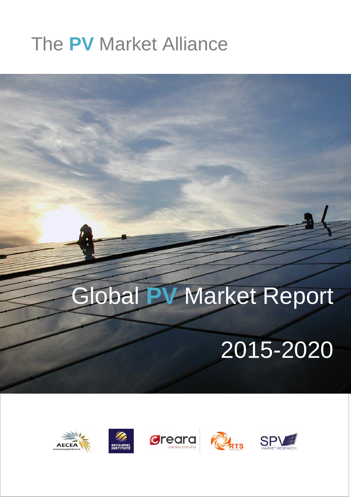### The **PV** Market Alliance

# Global **PV** Market Report

## 2015-2020

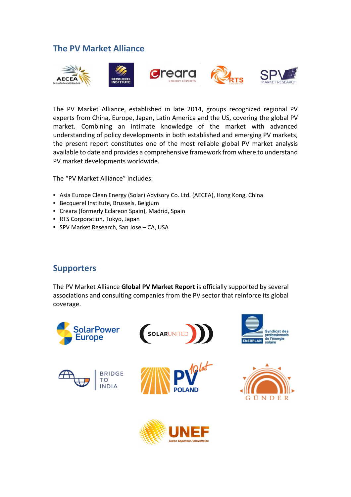#### **The PV Market Alliance**



The PV Market Alliance, established in late 2014, groups recognized regional PV experts from China, Europe, Japan, Latin America and the US, covering the global PV market. Combining an intimate knowledge of the market with advanced understanding of policy developments in both established and emerging PV markets, the present report constitutes one of the most reliable global PV market analysis available to date and provides a comprehensive framework from where to understand PV market developments worldwide.

The "PV Market Alliance" includes:

- **EXERGIA EXERGIS ENERGY (Solar) Advisory Co. Ltd. (AECEA), Hong Kong, China**
- Becquerel Institute, Brussels, Belgium
- Creara (formerly Eclareon Spain), Madrid, Spain
- RTS Corporation, Tokyo, Japan
- **· SPV Market Research, San Jose CA, USA**

#### **Supporters**

The PV Market Alliance **Global PV Market Report** is officially supported by several associations and consulting companies from the PV sector that reinforce its global coverage.



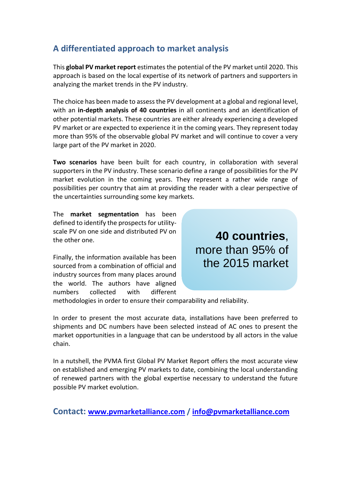#### **A differentiated approach to market analysis**

This **global PV market report** estimates the potential of the PV market until 2020. This approach is based on the local expertise of its network of partners and supporters in analyzing the market trends in the PV industry.

The choice has been made to assess the PV development at a global and regional level, with an **in-depth analysis of 40 countries** in all continents and an identification of other potential markets. These countries are either already experiencing a developed PV market or are expected to experience it in the coming years. They represent today more than 95% of the observable global PV market and will continue to cover a very large part of the PV market in 2020.

**Two scenarios** have been built for each country, in collaboration with several supporters in the PV industry. These scenario define a range of possibilities for the PV market evolution in the coming years. They represent a rather wide range of possibilities per country that aim at providing the reader with a clear perspective of the uncertainties surrounding some key markets.

The **market segmentation** has been defined to identify the prospects for utilityscale PV on one side and distributed PV on the other one.

Finally, the information available has been sourced from a combination of official and industry sources from many places around the world. The authors have aligned numbers collected with different

**40 countries**, more than 95% of the 2015 market

methodologies in order to ensure their comparability and reliability.

In order to present the most accurate data, installations have been preferred to shipments and DC numbers have been selected instead of AC ones to present the market opportunities in a language that can be understood by all actors in the value chain.

In a nutshell, the PVMA first Global PV Market Report offers the most accurate view on established and emerging PV markets to date, combining the local understanding of renewed partners with the global expertise necessary to understand the future possible PV market evolution.

**Contact: [www.pvmarketalliance.com](http://www.pvmarketalliance.com/) / [info@pvmarketalliance.com](mailto:info@pvmarketalliance.com)**